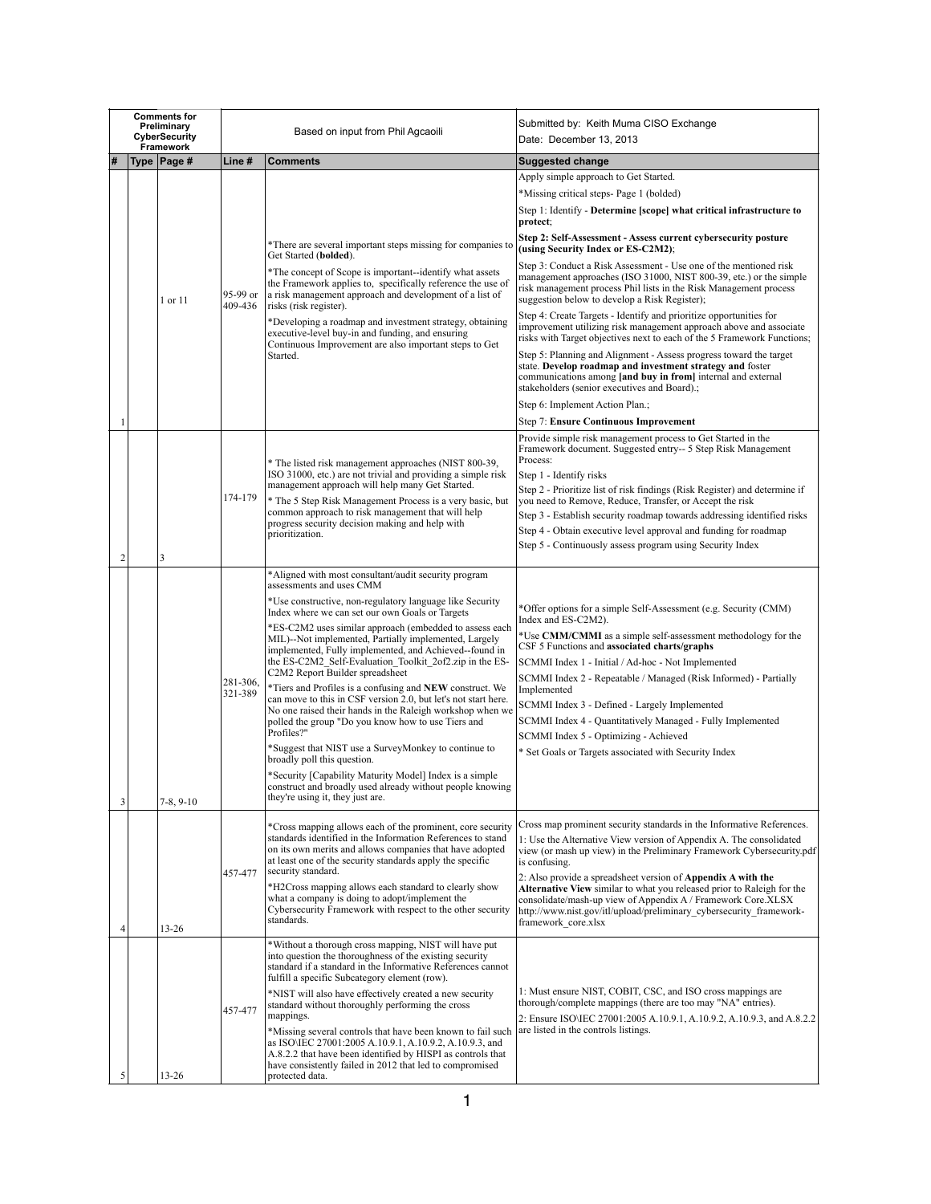| <b>Comments for</b><br>Preliminary<br>CyberSecurity |  | Based on input from Phil Agcaoili |                     | Submitted by: Keith Muma CISO Exchange<br>Date: December 13, 2013                                                                                                                                                                                                        |                                                                                                                                                                                                                                                                                      |
|-----------------------------------------------------|--|-----------------------------------|---------------------|--------------------------------------------------------------------------------------------------------------------------------------------------------------------------------------------------------------------------------------------------------------------------|--------------------------------------------------------------------------------------------------------------------------------------------------------------------------------------------------------------------------------------------------------------------------------------|
|                                                     |  | Framework<br>Type   Page #        | Line #              | Comments                                                                                                                                                                                                                                                                 | <b>Suggested change</b>                                                                                                                                                                                                                                                              |
|                                                     |  |                                   |                     |                                                                                                                                                                                                                                                                          | Apply simple approach to Get Started.                                                                                                                                                                                                                                                |
|                                                     |  |                                   |                     |                                                                                                                                                                                                                                                                          | *Missing critical steps- Page 1 (bolded)                                                                                                                                                                                                                                             |
|                                                     |  |                                   |                     |                                                                                                                                                                                                                                                                          | Step 1: Identify - Determine [scope] what critical infrastructure to<br>protect;                                                                                                                                                                                                     |
|                                                     |  |                                   |                     | *There are several important steps missing for companies to<br>Get Started (bolded).                                                                                                                                                                                     | Step 2: Self-Assessment - Assess current cybersecurity posture<br>(using Security Index or ES-C2M2);                                                                                                                                                                                 |
|                                                     |  | 1 or 11                           | 95-99 or<br>409-436 | *The concept of Scope is important--identify what assets<br>the Framework applies to, specifically reference the use of<br>a risk management approach and development of a list of<br>risks (risk register).                                                             | Step 3: Conduct a Risk Assessment - Use one of the mentioned risk<br>management approaches (ISO 31000, NIST 800-39, etc.) or the simple<br>risk management process Phil lists in the Risk Management process<br>suggestion below to develop a Risk Register);                        |
|                                                     |  |                                   |                     | *Developing a roadmap and investment strategy, obtaining<br>executive-level buy-in and funding, and ensuring                                                                                                                                                             | Step 4: Create Targets - Identify and prioritize opportunities for<br>improvement utilizing risk management approach above and associate<br>risks with Target objectives next to each of the 5 Framework Functions;                                                                  |
|                                                     |  |                                   |                     | Continuous Improvement are also important steps to Get<br>Started.                                                                                                                                                                                                       | Step 5: Planning and Alignment - Assess progress toward the target<br>state. Develop roadmap and investment strategy and foster<br>communications among [and buy in from] internal and external<br>stakeholders (senior executives and Board).;                                      |
|                                                     |  |                                   |                     |                                                                                                                                                                                                                                                                          | Step 6: Implement Action Plan.;                                                                                                                                                                                                                                                      |
|                                                     |  |                                   |                     |                                                                                                                                                                                                                                                                          | <b>Step 7: Ensure Continuous Improvement</b>                                                                                                                                                                                                                                         |
|                                                     |  |                                   |                     | * The listed risk management approaches (NIST 800-39,<br>ISO 31000, etc.) are not trivial and providing a simple risk<br>management approach will help many Get Started.                                                                                                 | Provide simple risk management process to Get Started in the<br>Framework document. Suggested entry-- 5 Step Risk Management<br>Process:<br>Step 1 - Identify risks<br>Step 2 - Prioritize list of risk findings (Risk Register) and determine if                                    |
|                                                     |  |                                   | 174-179             | * The 5 Step Risk Management Process is a very basic, but                                                                                                                                                                                                                | you need to Remove, Reduce, Transfer, or Accept the risk                                                                                                                                                                                                                             |
|                                                     |  |                                   |                     | common approach to risk management that will help<br>progress security decision making and help with                                                                                                                                                                     | Step 3 - Establish security roadmap towards addressing identified risks                                                                                                                                                                                                              |
|                                                     |  |                                   |                     | prioritization.                                                                                                                                                                                                                                                          | Step 4 - Obtain executive level approval and funding for roadmap<br>Step 5 - Continuously assess program using Security Index                                                                                                                                                        |
| 2                                                   |  | 3                                 |                     |                                                                                                                                                                                                                                                                          |                                                                                                                                                                                                                                                                                      |
|                                                     |  |                                   |                     | *Aligned with most consultant/audit security program<br>assessments and uses CMM                                                                                                                                                                                         |                                                                                                                                                                                                                                                                                      |
|                                                     |  |                                   |                     | *Use constructive, non-regulatory language like Security<br>Index where we can set our own Goals or Targets                                                                                                                                                              | *Offer options for a simple Self-Assessment (e.g. Security (CMM)<br>Index and ES-C2M2).                                                                                                                                                                                              |
|                                                     |  |                                   |                     | *ES-C2M2 uses similar approach (embedded to assess each<br>MIL)--Not implemented, Partially implemented, Largely<br>implemented, Fully implemented, and Achieved--found in<br>the ES-C2M2 Self-Evaluation Toolkit 2of2.zip in the ES-                                    | *Use CMM/CMMI as a simple self-assessment methodology for the<br>CSF 5 Functions and associated charts/graphs                                                                                                                                                                        |
|                                                     |  |                                   |                     | C2M2 Report Builder spreadsheet                                                                                                                                                                                                                                          | SCMMI Index 1 - Initial / Ad-hoc - Not Implemented<br>SCMMI Index 2 - Repeatable / Managed (Risk Informed) - Partially                                                                                                                                                               |
|                                                     |  |                                   | 281-306,<br>321-389 | *Tiers and Profiles is a confusing and NEW construct. We<br>can move to this in CSF version 2.0, but let's not start here.                                                                                                                                               | Implemented                                                                                                                                                                                                                                                                          |
|                                                     |  |                                   |                     | No one raised their hands in the Raleigh workshop when we                                                                                                                                                                                                                | SCMMI Index 3 - Defined - Largely Implemented<br>SCMMI Index 4 - Quantitatively Managed - Fully Implemented                                                                                                                                                                          |
|                                                     |  |                                   |                     | polled the group "Do you know how to use Tiers and<br>Profiles?"                                                                                                                                                                                                         | SCMMI Index 5 - Optimizing - Achieved                                                                                                                                                                                                                                                |
|                                                     |  |                                   |                     | *Suggest that NIST use a SurveyMonkey to continue to<br>broadly poll this question.                                                                                                                                                                                      | * Set Goals or Targets associated with Security Index                                                                                                                                                                                                                                |
|                                                     |  |                                   |                     | *Security [Capability Maturity Model] Index is a simple                                                                                                                                                                                                                  |                                                                                                                                                                                                                                                                                      |
| 3                                                   |  | $7-8, 9-10$                       |                     | construct and broadly used already without people knowing<br>they're using it, they just are.                                                                                                                                                                            |                                                                                                                                                                                                                                                                                      |
|                                                     |  |                                   | 457-477             | *Cross mapping allows each of the prominent, core security<br>standards identified in the Information References to stand<br>on its own merits and allows companies that have adopted<br>at least one of the security standards apply the specific<br>security standard. | Cross map prominent security standards in the Informative References.<br>1: Use the Alternative View version of Appendix A. The consolidated<br>view (or mash up view) in the Preliminary Framework Cybersecurity.pdf<br>is confusing.                                               |
|                                                     |  |                                   |                     | *H2Cross mapping allows each standard to clearly show<br>what a company is doing to adopt/implement the<br>Cybersecurity Framework with respect to the other security<br>standards.                                                                                      | 2: Also provide a spreadsheet version of <b>Appendix A with the</b><br>Alternative View similar to what you released prior to Raleigh for the<br>consolidate/mash-up view of Appendix A / Framework Core.XLSX<br>http://www.nist.gov/itl/upload/preliminary cybersecurity framework- |
| 4                                                   |  | 13-26                             |                     |                                                                                                                                                                                                                                                                          | framework core.xlsx                                                                                                                                                                                                                                                                  |
|                                                     |  |                                   |                     | *Without a thorough cross mapping, NIST will have put<br>into question the thoroughness of the existing security<br>standard if a standard in the Informative References cannot<br>fulfill a specific Subcategory element (row).                                         |                                                                                                                                                                                                                                                                                      |
|                                                     |  |                                   | 457-477             | *NIST will also have effectively created a new security<br>standard without thoroughly performing the cross<br>mappings.                                                                                                                                                 | 1: Must ensure NIST, COBIT, CSC, and ISO cross mappings are<br>thorough/complete mappings (there are too may "NA" entries).<br>2: Ensure ISO\IEC 27001:2005 A.10.9.1, A.10.9.2, A.10.9.3, and A.8.2.2                                                                                |
|                                                     |  |                                   |                     | *Missing several controls that have been known to fail such<br>as ISO\IEC 27001:2005 A.10.9.1, A.10.9.2, A.10.9.3, and<br>A.8.2.2 that have been identified by HISPI as controls that<br>have consistently failed in 2012 that led to compromised                        | are listed in the controls listings.                                                                                                                                                                                                                                                 |
|                                                     |  | 13-26                             |                     | protected data.                                                                                                                                                                                                                                                          |                                                                                                                                                                                                                                                                                      |